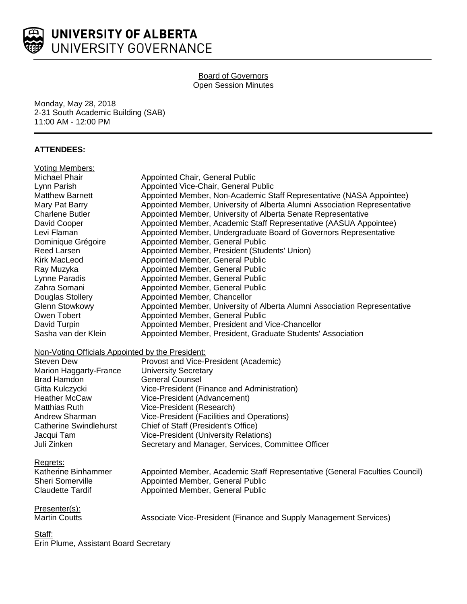

### Board of Governors Open Session Minutes

Monday, May 28, 2018 2-31 South Academic Building (SAB) 11:00 AM - 12:00 PM

# **ATTENDEES:**

| <b>Voting Members:</b>                           |                                                                             |
|--------------------------------------------------|-----------------------------------------------------------------------------|
| Michael Phair                                    | Appointed Chair, General Public                                             |
| Lynn Parish                                      | Appointed Vice-Chair, General Public                                        |
| Matthew Barnett                                  | Appointed Member, Non-Academic Staff Representative (NASA Appointee)        |
| Mary Pat Barry                                   | Appointed Member, University of Alberta Alumni Association Representative   |
| <b>Charlene Butler</b>                           | Appointed Member, University of Alberta Senate Representative               |
| David Cooper                                     | Appointed Member, Academic Staff Representative (AASUA Appointee)           |
| Levi Flaman                                      | Appointed Member, Undergraduate Board of Governors Representative           |
| Dominique Grégoire                               | Appointed Member, General Public                                            |
| Reed Larsen                                      | Appointed Member, President (Students' Union)                               |
| <b>Kirk MacLeod</b>                              | Appointed Member, General Public                                            |
| Ray Muzyka                                       | Appointed Member, General Public                                            |
| Lynne Paradis                                    | Appointed Member, General Public                                            |
| Zahra Somani                                     | Appointed Member, General Public                                            |
| Douglas Stollery                                 | Appointed Member, Chancellor                                                |
| <b>Glenn Stowkowy</b>                            | Appointed Member, University of Alberta Alumni Association Representative   |
| Owen Tobert                                      | Appointed Member, General Public                                            |
| David Turpin                                     | Appointed Member, President and Vice-Chancellor                             |
| Sasha van der Klein                              | Appointed Member, President, Graduate Students' Association                 |
| Non-Voting Officials Appointed by the President: |                                                                             |
| <b>Steven Dew</b>                                | Provost and Vice-President (Academic)                                       |
| Marion Haggarty-France                           | <b>University Secretary</b>                                                 |
| <b>Brad Hamdon</b>                               | <b>General Counsel</b>                                                      |
| Gitta Kulczycki                                  | Vice-President (Finance and Administration)                                 |
| <b>Heather McCaw</b>                             | Vice-President (Advancement)                                                |
| <b>Matthias Ruth</b>                             | Vice-President (Research)                                                   |
| Andrew Sharman                                   | Vice-President (Facilities and Operations)                                  |
| <b>Catherine Swindlehurst</b>                    | Chief of Staff (President's Office)                                         |
| Jacqui Tam                                       | <b>Vice-President (University Relations)</b>                                |
| Juli Zinken                                      | Secretary and Manager, Services, Committee Officer                          |
| Regrets:                                         |                                                                             |
| Katherine Binhammer                              | Appointed Member, Academic Staff Representative (General Faculties Council) |
| <b>Sheri Somerville</b>                          | Appointed Member, General Public                                            |
| <b>Claudette Tardif</b>                          | Appointed Member, General Public                                            |
| Presenter(s):                                    |                                                                             |
| <b>Martin Coutts</b>                             | Associate Vice-President (Finance and Supply Management Services)           |
| Staff:                                           |                                                                             |

Erin Plume, Assistant Board Secretary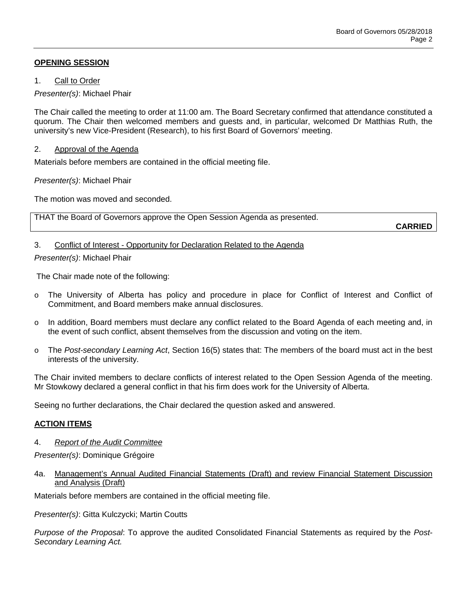# **OPENING SESSION**

1. Call to Order

*Presenter(s)*: Michael Phair

The Chair called the meeting to order at 11:00 am. The Board Secretary confirmed that attendance constituted a quorum. The Chair then welcomed members and guests and, in particular, welcomed Dr Matthias Ruth, the university's new Vice-President (Research), to his first Board of Governors' meeting.

## 2. Approval of the Agenda

Materials before members are contained in the official meeting file.

*Presenter(s)*: Michael Phair

The motion was moved and seconded.

THAT the Board of Governors approve the Open Session Agenda as presented.

**CARRIED**

## 3. Conflict of Interest - Opportunity for Declaration Related to the Agenda

*Presenter(s)*: Michael Phair

The Chair made note of the following:

- o The University of Alberta has policy and procedure in place for Conflict of Interest and Conflict of Commitment, and Board members make annual disclosures.
- o In addition, Board members must declare any conflict related to the Board Agenda of each meeting and, in the event of such conflict, absent themselves from the discussion and voting on the item.
- o The *Post-secondary Learning Act*, Section 16(5) states that: The members of the board must act in the best interests of the university.

The Chair invited members to declare conflicts of interest related to the Open Session Agenda of the meeting. Mr Stowkowy declared a general conflict in that his firm does work for the University of Alberta.

Seeing no further declarations, the Chair declared the question asked and answered.

# **ACTION ITEMS**

## 4. *Report of the Audit Committee*

*Presenter(s)*: Dominique Grégoire

4a. Management's Annual Audited Financial Statements (Draft) and review Financial Statement Discussion and Analysis (Draft)

Materials before members are contained in the official meeting file.

*Presenter(s)*: Gitta Kulczycki; Martin Coutts

*Purpose of the Proposal*: To approve the audited Consolidated Financial Statements as required by the *Post-Secondary Learning Act.*